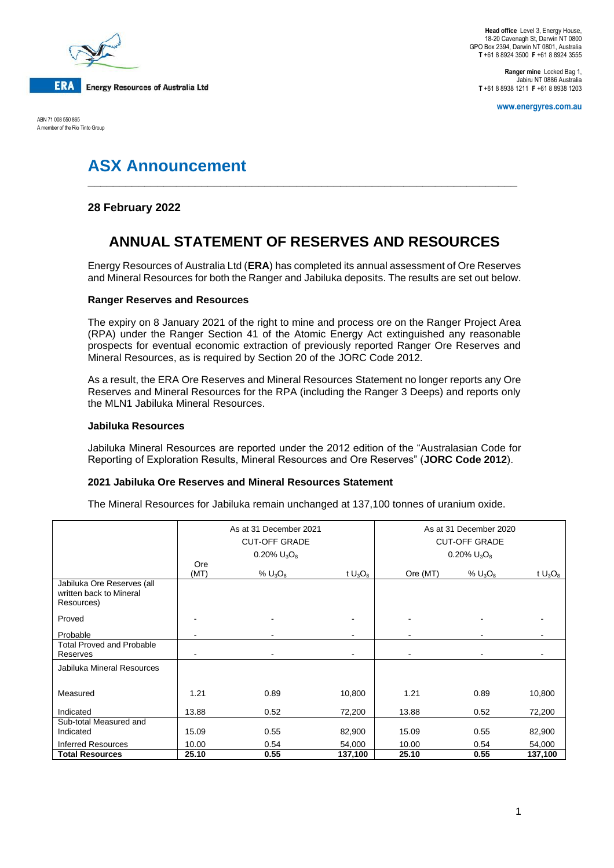

**Head office** Level 3, Energy House, 18-20 Cavenagh St, Darwin NT 0800 GPO Box 2394, Darwin NT 0801, Australia **T** +61 8 8924 3500 **F** +61 8 8924 3555

**Ranger mine** Locked Bag 1, Jabiru NT 0886 Australia **T** +61 8 8938 1211 **F** +61 8 8938 1203

**www.energyres.com.au**

ABN 71 008 550 865 A member of the Rio Tinto Group

# **ASX Announcement**

### **28 February 2022**

## **ANNUAL STATEMENT OF RESERVES AND RESOURCES**

**\_\_\_\_\_\_\_\_\_\_\_\_\_\_\_\_\_\_\_\_\_\_\_\_\_\_\_\_\_\_\_\_\_\_\_\_\_\_\_\_\_\_\_\_\_\_\_\_\_\_\_\_\_\_\_\_\_\_\_\_\_\_\_\_\_\_\_\_**

Energy Resources of Australia Ltd (**ERA**) has completed its annual assessment of Ore Reserves and Mineral Resources for both the Ranger and Jabiluka deposits. The results are set out below.

#### **Ranger Reserves and Resources**

The expiry on 8 January 2021 of the right to mine and process ore on the Ranger Project Area (RPA) under the Ranger Section 41 of the Atomic Energy Act extinguished any reasonable prospects for eventual economic extraction of previously reported Ranger Ore Reserves and Mineral Resources, as is required by Section 20 of the JORC Code 2012.

As a result, the ERA Ore Reserves and Mineral Resources Statement no longer reports any Ore Reserves and Mineral Resources for the RPA (including the Ranger 3 Deeps) and reports only the MLN1 Jabiluka Mineral Resources.

#### **Jabiluka Resources**

Jabiluka Mineral Resources are reported under the 2012 edition of the "Australasian Code for Reporting of Exploration Results, Mineral Resources and Ore Reserves" (**JORC Code 2012**).

#### **2021 Jabiluka Ore Reserves and Mineral Resources Statement**

The Mineral Resources for Jabiluka remain unchanged at 137,100 tonnes of uranium oxide.

|                                                                     | As at 31 December 2021<br><b>CUT-OFF GRADE</b><br>0.20% $U_3O_8$ |            |            | As at 31 December 2020<br><b>CUT-OFF GRADE</b><br>0.20% $U_3O_8$ |            |            |
|---------------------------------------------------------------------|------------------------------------------------------------------|------------|------------|------------------------------------------------------------------|------------|------------|
|                                                                     | Ore                                                              |            |            |                                                                  |            |            |
|                                                                     | (MT)                                                             | % $U_3O_8$ | t $U_3O_8$ | Ore (MT)                                                         | % $U_3O_8$ | t $U_3O_8$ |
| Jabiluka Ore Reserves (all<br>written back to Mineral<br>Resources) |                                                                  |            |            |                                                                  |            |            |
| Proved                                                              |                                                                  |            |            |                                                                  |            |            |
| Probable                                                            |                                                                  |            |            |                                                                  |            |            |
| <b>Total Proved and Probable</b><br>Reserves                        |                                                                  |            |            |                                                                  |            |            |
| Jabiluka Mineral Resources                                          |                                                                  |            |            |                                                                  |            |            |
|                                                                     |                                                                  |            |            |                                                                  |            |            |
| Measured                                                            | 1.21                                                             | 0.89       | 10,800     | 1.21                                                             | 0.89       | 10,800     |
| Indicated                                                           | 13.88                                                            | 0.52       | 72,200     | 13.88                                                            | 0.52       | 72,200     |
| Sub-total Measured and                                              |                                                                  |            |            |                                                                  |            |            |
| Indicated                                                           | 15.09                                                            | 0.55       | 82,900     | 15.09                                                            | 0.55       | 82,900     |
| <b>Inferred Resources</b>                                           | 10.00                                                            | 0.54       | 54,000     | 10.00                                                            | 0.54       | 54,000     |
| <b>Total Resources</b>                                              | 25.10                                                            | 0.55       | 137,100    | 25.10                                                            | 0.55       | 137,100    |